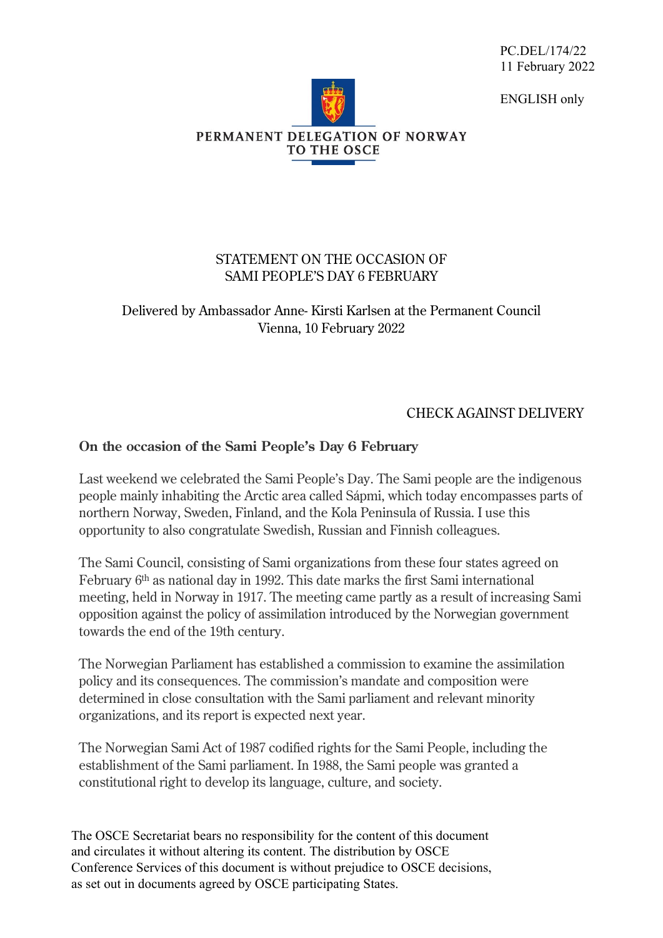PC.DEL/174/22 11 February 2022

ENGLISH only



## STATEMENT ON THE OCCASION OF SAMI PEOPLE'S DAY 6 FEBRUARY

## Delivered by Ambassador Anne- Kirsti Karlsen at the Permanent Council Vienna, 10 February 2022

## CHECK AGAINST DELIVERY

## **On the occasion of the Sami People's Day 6 February**

Last weekend we celebrated the Sami People's Day. The Sami people are the indigenous people mainly inhabiting the Arctic area called Sápmi, which today encompasses parts of northern Norway, Sweden, Finland, and the Kola Peninsula of Russia. I use this opportunity to also congratulate Swedish, Russian and Finnish colleagues.

The Sami Council, consisting of Sami organizations from these four states agreed on February 6th as national day in 1992. This date marks the first Sami international meeting, held in Norway in 1917. The meeting came partly as a result of increasing Sami opposition against the policy of assimilation introduced by the Norwegian government towards the end of the 19th century.

The Norwegian Parliament has established a commission to examine the assimilation policy and its consequences. The commission's mandate and composition were determined in close consultation with the Sami parliament and relevant minority organizations, and its report is expected next year.

The Norwegian Sami Act of 1987 codified rights for the Sami People, including the establishment of the Sami parliament. In 1988, the Sami people was granted a constitutional right to develop its language, culture, and society.

The OSCE Secretariat bears no responsibility for the content of this document and circulates it without altering its content. The distribution by OSCE Conference Services of this document is without prejudice to OSCE decisions, as set out in documents agreed by OSCE participating States.